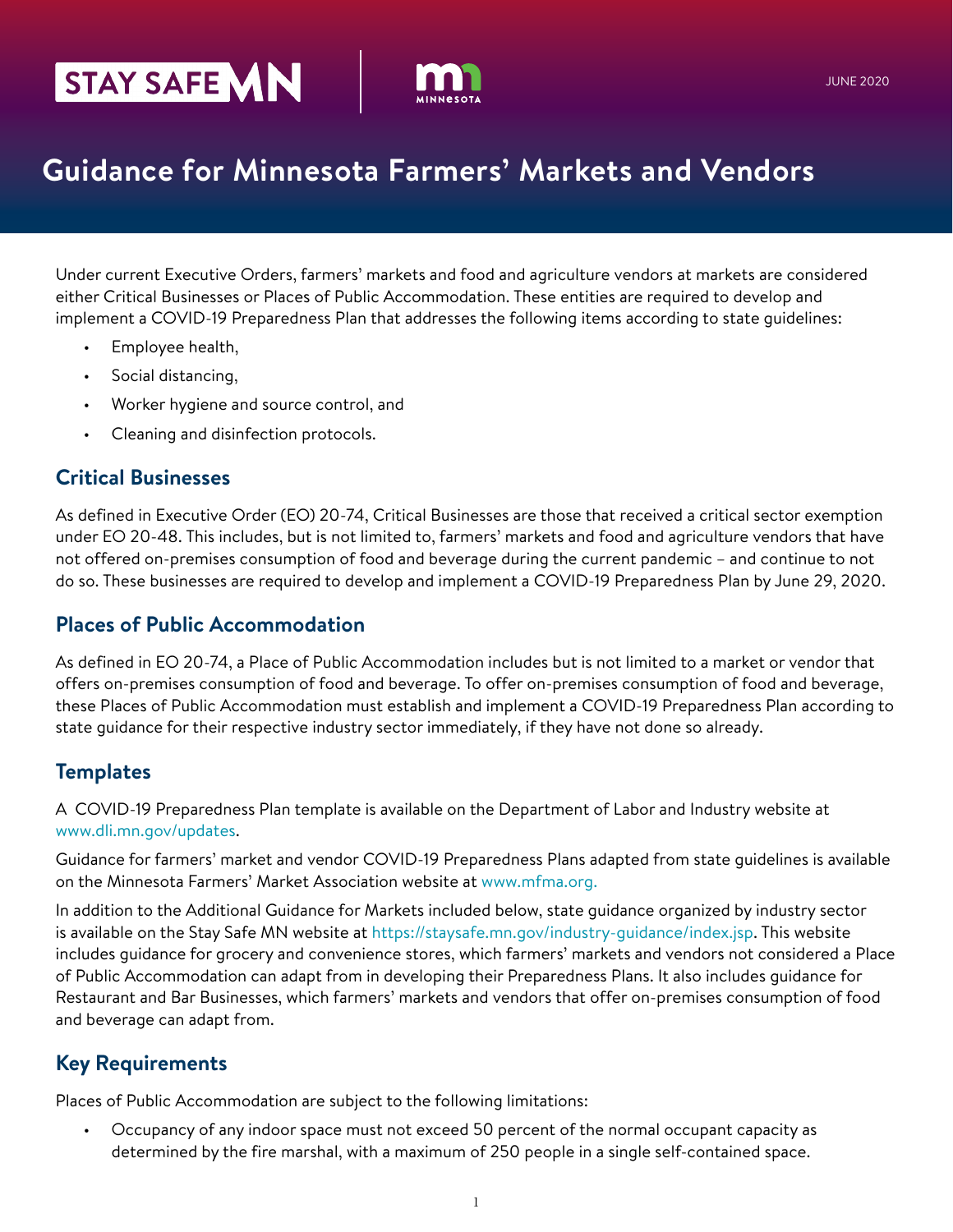# STAY SAFE **MN**



# **Guidance for Minnesota Farmers' Markets and Vendors**

Under current Executive Orders, farmers' markets and food and agriculture vendors at markets are considered either Critical Businesses or Places of Public Accommodation. These entities are required to develop and implement a COVID-19 Preparedness Plan that addresses the following items according to state guidelines:

- Employee health,
- Social distancing,
- Worker hygiene and source control, and
- Cleaning and disinfection protocols.

#### **Critical Businesses**

As defined in Executive Order (EO) 20-74, Critical Businesses are those that received a critical sector exemption under EO 20-48. This includes, but is not limited to, farmers' markets and food and agriculture vendors that have not offered on-premises consumption of food and beverage during the current pandemic – and continue to not do so. These businesses are required to develop and implement a COVID-19 Preparedness Plan by June 29, 2020.

#### **Places of Public Accommodation**

As defined in EO 20-74, a Place of Public Accommodation includes but is not limited to a market or vendor that offers on-premises consumption of food and beverage. To offer on-premises consumption of food and beverage, these Places of Public Accommodation must establish and implement a COVID-19 Preparedness Plan according to state guidance for their respective industry sector immediately, if they have not done so already.

# **Templates**

A COVID-19 Preparedness Plan template is available on the Department of Labor and Industry website at [www.dli.mn.gov/updates.](https://www.dli.mn.gov/updates)

Guidance for farmers' market and vendor COVID-19 Preparedness Plans adapted from state guidelines is available on the Minnesota Farmers' Market Association website at [www.mfma.org.](https://www.mfma.org/)

In addition to the Additional Guidance for Markets included below, state guidance organized by industry sector is available on the Stay Safe MN website at <https://staysafe.mn.gov/industry-guidance/index.jsp>. This website includes guidance for grocery and convenience stores, which farmers' markets and vendors not considered a Place of Public Accommodation can adapt from in developing their Preparedness Plans. It also includes guidance for Restaurant and Bar Businesses, which farmers' markets and vendors that offer on-premises consumption of food and beverage can adapt from.

# **Key Requirements**

Places of Public Accommodation are subject to the following limitations:

• Occupancy of any indoor space must not exceed 50 percent of the normal occupant capacity as determined by the fire marshal, with a maximum of 250 people in a single self-contained space.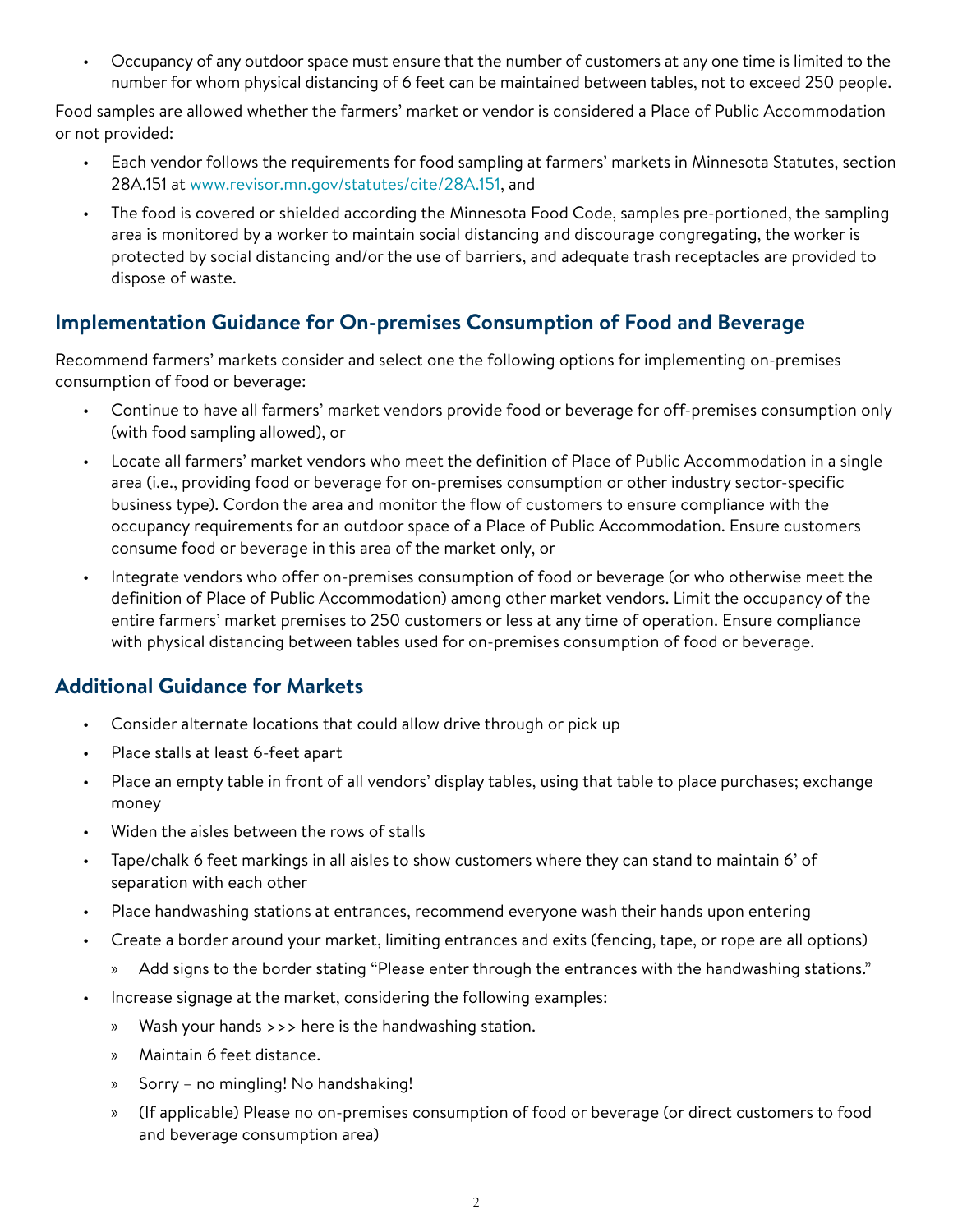• Occupancy of any outdoor space must ensure that the number of customers at any one time is limited to the number for whom physical distancing of 6 feet can be maintained between tables, not to exceed 250 people.

Food samples are allowed whether the farmers' market or vendor is considered a Place of Public Accommodation or not provided:

- Each vendor follows the requirements for food sampling at farmers' markets in Minnesota Statutes, section 28A.151 at [www.revisor.mn.gov/statutes/cite/28A.151,](https://www.revisor.mn.gov/statutes/cite/28A.151) and
- The food is covered or shielded according the Minnesota Food Code, samples pre-portioned, the sampling area is monitored by a worker to maintain social distancing and discourage congregating, the worker is protected by social distancing and/or the use of barriers, and adequate trash receptacles are provided to dispose of waste.

# **Implementation Guidance for On-premises Consumption of Food and Beverage**

Recommend farmers' markets consider and select one the following options for implementing on-premises consumption of food or beverage:

- Continue to have all farmers' market vendors provide food or beverage for off-premises consumption only (with food sampling allowed), or
- Locate all farmers' market vendors who meet the definition of Place of Public Accommodation in a single area (i.e., providing food or beverage for on-premises consumption or other industry sector-specific business type). Cordon the area and monitor the flow of customers to ensure compliance with the occupancy requirements for an outdoor space of a Place of Public Accommodation. Ensure customers consume food or beverage in this area of the market only, or
- Integrate vendors who offer on-premises consumption of food or beverage (or who otherwise meet the definition of Place of Public Accommodation) among other market vendors. Limit the occupancy of the entire farmers' market premises to 250 customers or less at any time of operation. Ensure compliance with physical distancing between tables used for on-premises consumption of food or beverage.

# **Additional Guidance for Markets**

- Consider alternate locations that could allow drive through or pick up
- Place stalls at least 6-feet apart
- Place an empty table in front of all vendors' display tables, using that table to place purchases; exchange money
- Widen the aisles between the rows of stalls
- Tape/chalk 6 feet markings in all aisles to show customers where they can stand to maintain 6' of separation with each other
- Place handwashing stations at entrances, recommend everyone wash their hands upon entering
- Create a border around your market, limiting entrances and exits (fencing, tape, or rope are all options)
	- » Add signs to the border stating "Please enter through the entrances with the handwashing stations."
- Increase signage at the market, considering the following examples:
	- » Wash your hands >>> here is the handwashing station.
	- » Maintain 6 feet distance.
	- » Sorry no mingling! No handshaking!
	- » (If applicable) Please no on-premises consumption of food or beverage (or direct customers to food and beverage consumption area)